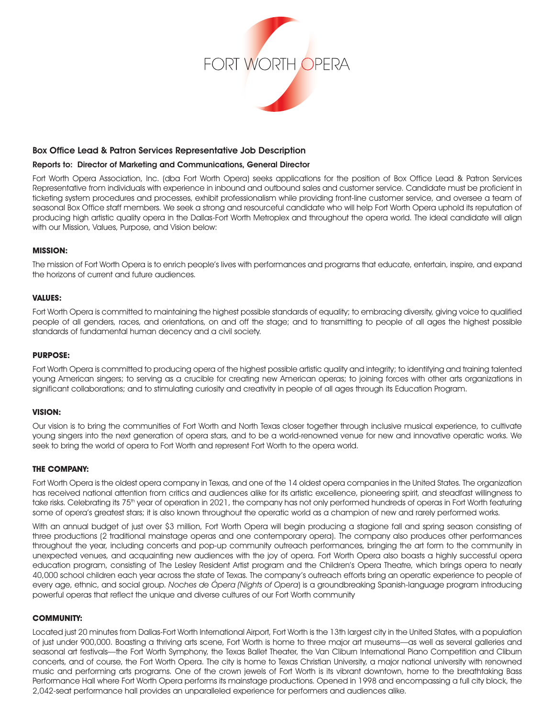

## Box Office Lead & Patron Services Representative Job Description

## Reports to: Director of Marketing and Communications, General Director

Fort Worth Opera Association, Inc. (dba Fort Worth Opera) seeks applications for the position of Box Office Lead & Patron Services Representative from individuals with experience in inbound and outbound sales and customer service. Candidate must be proficient in ticketing system procedures and processes, exhibit professionalism while providing front-line customer service, and oversee a team of seasonal Box Office staff members. We seek a strong and resourceful candidate who will help Fort Worth Opera uphold its reputation of producing high artistic quality opera in the Dallas-Fort Worth Metroplex and throughout the opera world. The ideal candidate will align with our Mission, Values, Purpose, and Vision below:

#### **MISSION:**

The mission of Fort Worth Opera is to enrich people's lives with performances and programs that educate, entertain, inspire, and expand the horizons of current and future audiences.

#### **VALUES:**

Fort Worth Opera is committed to maintaining the highest possible standards of equality; to embracing diversity, giving voice to qualified people of all genders, races, and orientations, on and off the stage; and to transmitting to people of all ages the highest possible standards of fundamental human decency and a civil society.

## **PURPOSE:**

Fort Worth Opera is committed to producing opera of the highest possible artistic quality and integrity; to identifying and training talented young American singers; to serving as a crucible for creating new American operas; to joining forces with other arts organizations in significant collaborations; and to stimulating curiosity and creativity in people of all ages through its Education Program.

## **VISION:**

Our vision is to bring the communities of Fort Worth and North Texas closer together through inclusive musical experience, to cultivate young singers into the next generation of opera stars, and to be a world-renowned venue for new and innovative operatic works. We seek to bring the world of opera to Fort Worth and represent Fort Worth to the opera world.

# **THE COMPANY:**

Fort Worth Opera is the oldest opera company in Texas, and one of the 14 oldest opera companies in the United States. The organization has received national attention from critics and audiences alike for its artistic excellence, pioneering spirit, and steadfast willingness to take risks. Celebrating its 75<sup>th</sup> year of operation in 2021, the company has not only performed hundreds of operas in Fort Worth featuring some of opera's greatest stars; it is also known throughout the operatic world as a champion of new and rarely performed works.

With an annual budget of just over \$3 million, Fort Worth Opera will begin producing a stagione fall and spring season consisting of three productions (2 traditional mainstage operas and one contemporary opera). The company also produces other performances throughout the year, including concerts and pop-up community outreach performances, bringing the art form to the community in unexpected venues, and acquainting new audiences with the joy of opera. Fort Worth Opera also boasts a highly successful opera education program, consisting of The Lesley Resident Artist program and the Children's Opera Theatre, which brings opera to nearly 40,000 school children each year across the state of Texas. The company's outreach efforts bring an operatic experience to people of every age, ethnic, and social group. Noches de Ópera (Nights of Opera) is a groundbreaking Spanish-language program introducing powerful operas that reflect the unique and diverse cultures of our Fort Worth community

## **COMMUNITY:**

Located just 20 minutes from Dallas-Fort Worth International Airport, Fort Worth is the 13th largest city in the United States, with a population of just under 900,000. Boasting a thriving arts scene, Fort Worth is home to three major art museums—as well as several galleries and seasonal art festivals—the Fort Worth Symphony, the Texas Ballet Theater, the Van Cliburn International Piano Competition and Cliburn concerts, and of course, the Fort Worth Opera. The city is home to Texas Christian University, a major national university with renowned music and performing arts programs. One of the crown jewels of Fort Worth is its vibrant downtown, home to the breathtaking Bass Performance Hall where Fort Worth Opera performs its mainstage productions. Opened in 1998 and encompassing a full city block, the 2,042-seat performance hall provides an unparalleled experience for performers and audiences alike.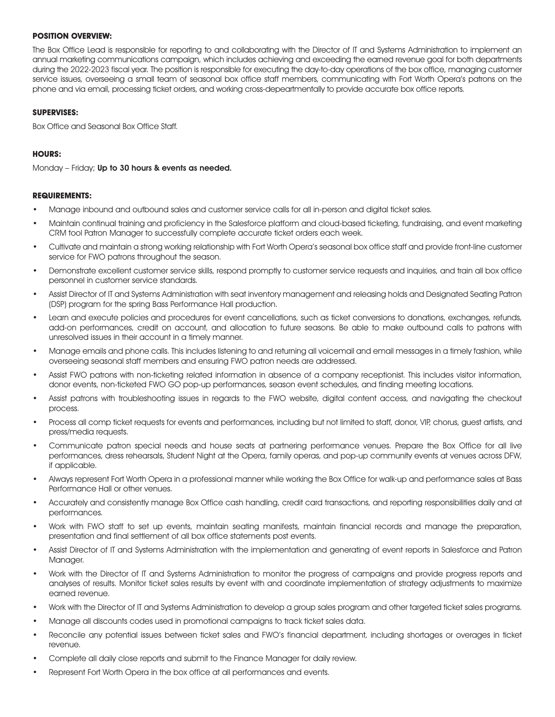## **POSITION OVERVIEW:**

The Box Office Lead is responsible for reporting to and collaborating with the Director of IT and Systems Administration to implement an annual marketing communications campaign, which includes achieving and exceeding the earned revenue goal for both departments during the 2022-2023 fiscal year. The position is responsible for executing the day-to-day operations of the box office, managing customer service issues, overseeing a small team of seasonal box office staff members, communicating with Fort Worth Opera's patrons on the phone and via email, processing ticket orders, and working cross-depeartmentally to provide accurate box office reports.

#### **SUPERVISES:**

Box Office and Seasonal Box Office Staff.

## **HOURS:**

Monday – Friday; Up to 30 hours & events as needed.

#### **REQUIREMENTS:**

- Manage inbound and outbound sales and customer service calls for all in-person and digital ticket sales.
- Maintain continual training and proficiency in the Salesforce platform and cloud-based ticketing, fundraising, and event marketing CRM tool Patron Manager to successfully complete accurate ticket orders each week.
- Cultivate and maintain a strong working relationship with Fort Worth Opera's seasonal box office staff and provide front-line customer service for FWO patrons throughout the season.
- Demonstrate excellent customer service skills, respond promptly to customer service requests and inquiries, and train all box office personnel in customer service standards.
- Assist Director of IT and Systems Administration with seat inventory management and releasing holds and Designated Seating Patron (DSP) program for the spring Bass Performance Hall production.
- Learn and execute policies and procedures for event cancellations, such as ticket conversions to donations, exchanges, refunds, add-on performances, credit on account, and allocation to future seasons. Be able to make outbound calls to patrons with unresolved issues in their account in a timely manner.
- Manage emails and phone calls. This includes listening to and returning all voicemail and email messages in a timely fashion, while overseeing seasonal staff members and ensuring FWO patron needs are addressed.
- Assist FWO patrons with non-ticketing related information in absence of a company receptionist. This includes visitor information, donor events, non-ticketed FWO GO pop-up performances, season event schedules, and finding meeting locations.
- Assist patrons with troubleshooting issues in regards to the FWO website, digital content access, and navigating the checkout process.
- Process all comp ticket requests for events and performances, including but not limited to staff, donor, VIP, chorus, guest artists, and press/media requests.
- Communicate patron special needs and house seats at partnering performance venues. Prepare the Box Office for all live performances, dress rehearsals, Student Night at the Opera, family operas, and pop-up community events at venues across DFW, if applicable.
- Always represent Fort Worth Opera in a professional manner while working the Box Office for walk-up and performance sales at Bass Performance Hall or other venues.
- Accurately and consistently manage Box Office cash handling, credit card transactions, and reporting responsibilities daily and at performances.
- Work with FWO staff to set up events, maintain seating manifests, maintain financial records and manage the preparation, presentation and final settlement of all box office statements post events.
- Assist Director of IT and Systems Administration with the implementation and generating of event reports in Salesforce and Patron Manager.
- Work with the Director of IT and Systems Administration to monitor the progress of campaigns and provide progress reports and analyses of results. Monitor ticket sales results by event with and coordinate implementation of strategy adjustments to maximize earned revenue.
- Work with the Director of IT and Systems Administration to develop a group sales program and other targeted ticket sales programs.
- Manage all discounts codes used in promotional campaigns to track ticket sales data.
- Reconcile any potential issues between ticket sales and FWO's financial department, including shortages or overages in ticket revenue.
- Complete all daily close reports and submit to the Finance Manager for daily review.
- Represent Fort Worth Opera in the box office at all performances and events.